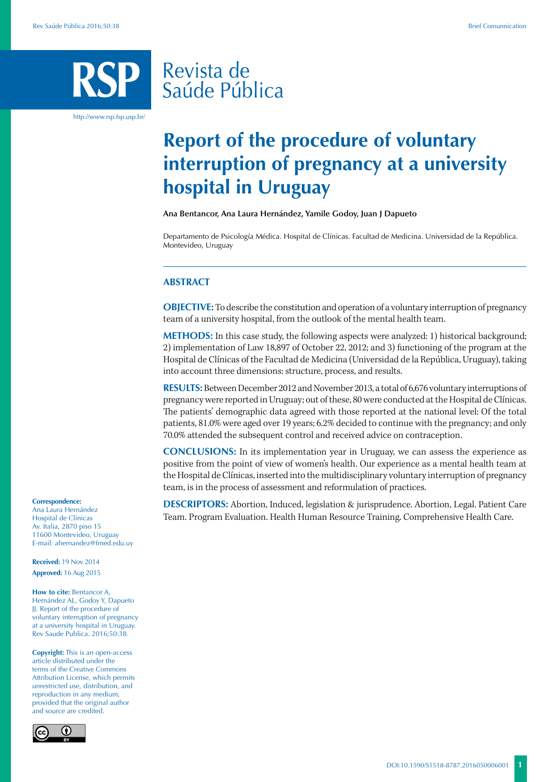# Revista de Saúde Pública

http://www.rsp.fsp.usp.br/

# **Report of the procedure of voluntary interruption of pregnancy at a university hospital in Uruguay**

**Ana Bentancor, Ana Laura Hernández, Yamile Godoy, Juan J Dapueto**

Departamento de Psicología Médica. Hospital de Clínicas. Facultad de Medicina. Universidad de la República. Montevideo, Uruguay

#### **ABSTRACT**

**OBJECTIVE:** To describe the constitution and operation of a voluntary interruption of pregnancy team of a university hospital, from the outlook of the mental health team.

**METHODS:** In this case study, the following aspects were analyzed: 1) historical background; 2) implementation of Law 18,897 of October 22, 2012; and 3) functioning of the program at the Hospital de Clínicas of the Facultad de Medicina (Universidad de la República, Uruguay), taking into account three dimensions: structure, process, and results.

**RESULTS:** Between December 2012 and November 2013, a total of 6,676 voluntary interruptions of pregnancy were reported in Uruguay; out of these, 80 were conducted at the Hospital de Clínicas. The patients' demographic data agreed with those reported at the national level: Of the total patients, 81.0% were aged over 19 years; 6.2% decided to continue with the pregnancy; and only 70.0% attended the subsequent control and received advice on contraception.

**CONCLUSIONS:** In its implementation year in Uruguay, we can assess the experience as positive from the point of view of women's health. Our experience as a mental health team at the Hospital de Clínicas, inserted into the multidisciplinary voluntary interruption of pregnancy team, is in the process of assessment and reformulation of practices.

**DESCRIPTORS:** Abortion, Induced, legislation & jurisprudence. Abortion, Legal. Patient Care Team. Program Evaluation. Health Human Resource Training. Comprehensive Health Care.

#### **Correspondence:**

Ana Laura Hernández Hospital de Clínicas Av. Italia, 2870 piso 15 11600 Montevideo, Uruguay E-mail: ahernandez@fmed.edu.uy

**Received:** 19 Nov 2014 **Approved:** 16 Aug 2015

**How to cite:** Bentancor A, Hernández AL, Godoy Y, Dapueto JJ. Report of the procedure of voluntary interruption of pregnancy at a university hospital in Uruguay. Rev Saude Publica. 2016;50:38.

**Copyright:** This is an open-access article distributed under the terms of the Creative Commons Attribution License, which permits unrestricted use, distribution, and reproduction in any medium, provided that the original author and source are credited.

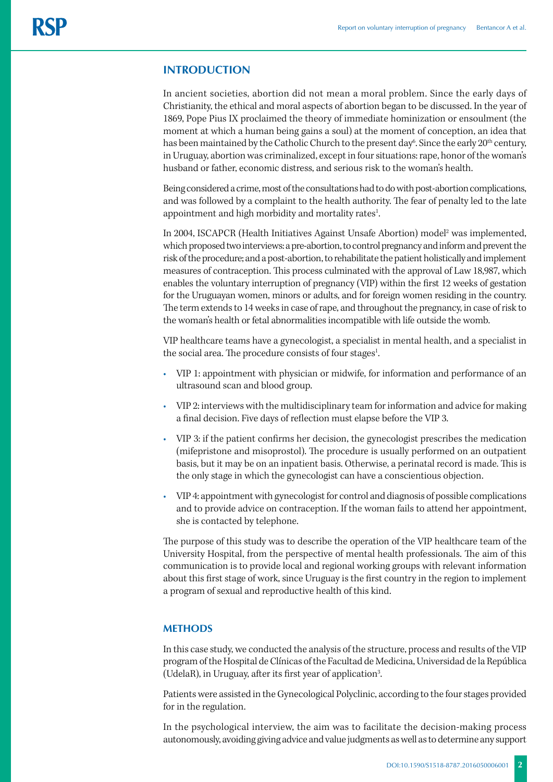# **INTRODUCTION**

In ancient societies, abortion did not mean a moral problem. Since the early days of Christianity, the ethical and moral aspects of abortion began to be discussed. In the year of 1869, Pope Pius IX proclaimed the theory of immediate hominization or ensoulment (the moment at which a human being gains a soul) at the moment of conception, an idea that has been maintained by the Catholic Church to the present day $^6$ . Since the early  $20^{\rm th}$  century, in Uruguay, abortion was criminalized, except in four situations: rape, honor of the woman's husband or father, economic distress, and serious risk to the woman's health.

Being considered a crime, most of the consultations had to do with post-abortion complications, and was followed by a complaint to the health authority. The fear of penalty led to the late appointment and high morbidity and mortality rates<sup>1</sup>.

In 2004, ISCAPCR (Health Initiatives Against Unsafe Abortion) model<sup>2</sup> was implemented, which proposed two interviews: a pre-abortion, to control pregnancy and inform and prevent the risk of the procedure; and a post-abortion, to rehabilitate the patient holistically and implement measures of contraception. This process culminated with the approval of Law 18,987, which enables the voluntary interruption of pregnancy (VIP) within the first 12 weeks of gestation for the Uruguayan women, minors or adults, and for foreign women residing in the country. The term extends to 14 weeks in case of rape, and throughout the pregnancy, in case of risk to the woman's health or fetal abnormalities incompatible with life outside the womb.

VIP healthcare teams have a gynecologist, a specialist in mental health, and a specialist in the social area. The procedure consists of four stages<sup>1</sup>. .

- VIP 1: appointment with physician or midwife, for information and performance of an ultrasound scan and blood group.
- VIP 2: interviews with the multidisciplinary team for information and advice for making a final decision. Five days of reflection must elapse before the VIP 3.
- VIP 3: if the patient confirms her decision, the gynecologist prescribes the medication (mifepristone and misoprostol). The procedure is usually performed on an outpatient basis, but it may be on an inpatient basis. Otherwise, a perinatal record is made. This is the only stage in which the gynecologist can have a conscientious objection.
- VIP 4: appointment with gynecologist for control and diagnosis of possible complications and to provide advice on contraception. If the woman fails to attend her appointment, she is contacted by telephone.

The purpose of this study was to describe the operation of the VIP healthcare team of the University Hospital, from the perspective of mental health professionals. The aim of this communication is to provide local and regional working groups with relevant information about this first stage of work, since Uruguay is the first country in the region to implement a program of sexual and reproductive health of this kind.

### **METHODS**

In this case study, we conducted the analysis of the structure, process and results of the VIP program of the Hospital de Clínicas of the Facultad de Medicina, Universidad de la República (UdelaR), in Uruguay, after its first year of application<sup>3</sup>. .

Patients were assisted in the Gynecological Polyclinic, according to the four stages provided for in the regulation.

In the psychological interview, the aim was to facilitate the decision-making process autonomously, avoiding giving advice and value judgments as well as to determine any support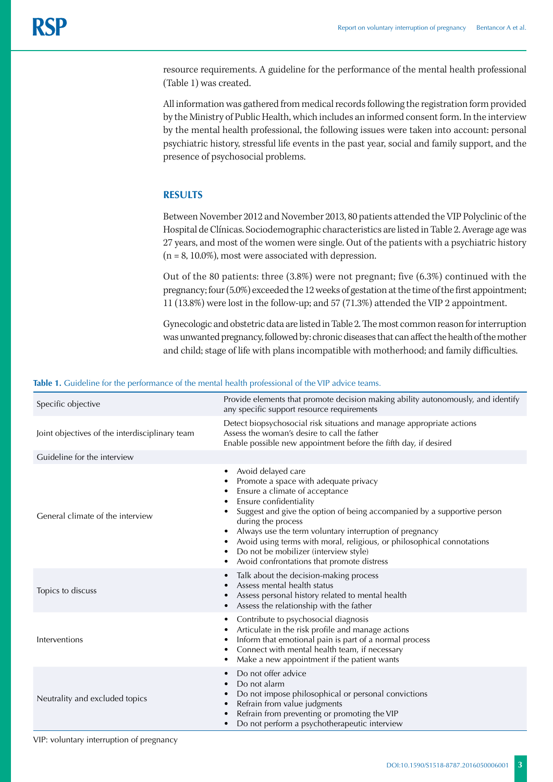resource requirements. A guideline for the performance of the mental health professional (Table 1) was created.

All information was gathered from medical records following the registration form provided by the Ministry of Public Health, which includes an informed consent form. In the interview by the mental health professional, the following issues were taken into account: personal psychiatric history, stressful life events in the past year, social and family support, and the presence of psychosocial problems.

# **RESULTS**

Between November 2012 and November 2013, 80 patients attended the VIP Polyclinic of the Hospital de Clínicas. Sociodemographic characteristics are listed in Table 2. Average age was 27 years, and most of the women were single. Out of the patients with a psychiatric history  $(n = 8, 10.0\%)$ , most were associated with depression.

Out of the 80 patients: three (3.8%) were not pregnant; five (6.3%) continued with the pregnancy; four (5.0%) exceeded the 12 weeks of gestation at the time of the first appointment; 11 (13.8%) were lost in the follow-up; and 57 (71.3%) attended the VIP 2 appointment.

Gynecologic and obstetric data are listed in Table 2. The most common reason for interruption was unwanted pregnancy, followed by: chronic diseases that can affect the health of the mother and child; stage of life with plans incompatible with motherhood; and family difficulties.

| Specific objective                             | Provide elements that promote decision making ability autonomously, and identify<br>any specific support resource requirements                                                                                                                                                                                                                                                                                                                            |
|------------------------------------------------|-----------------------------------------------------------------------------------------------------------------------------------------------------------------------------------------------------------------------------------------------------------------------------------------------------------------------------------------------------------------------------------------------------------------------------------------------------------|
| Joint objectives of the interdisciplinary team | Detect biopsychosocial risk situations and manage appropriate actions<br>Assess the woman's desire to call the father<br>Enable possible new appointment before the fifth day, if desired                                                                                                                                                                                                                                                                 |
| Guideline for the interview                    |                                                                                                                                                                                                                                                                                                                                                                                                                                                           |
| General climate of the interview               | Avoid delayed care<br>٠<br>Promote a space with adequate privacy<br>Ensure a climate of acceptance<br>Ensure confidentiality<br>Suggest and give the option of being accompanied by a supportive person<br>during the process<br>Always use the term voluntary interruption of pregnancy<br>Avoid using terms with moral, religious, or philosophical connotations<br>Do not be mobilizer (interview style)<br>Avoid confrontations that promote distress |
| Topics to discuss                              | Talk about the decision-making process<br>Assess mental health status<br>Assess personal history related to mental health<br>Assess the relationship with the father                                                                                                                                                                                                                                                                                      |
| Interventions                                  | Contribute to psychosocial diagnosis<br>٠<br>Articulate in the risk profile and manage actions<br>Inform that emotional pain is part of a normal process<br>Connect with mental health team, if necessary<br>$\bullet$<br>Make a new appointment if the patient wants                                                                                                                                                                                     |
| Neutrality and excluded topics                 | Do not offer advice<br>٠<br>Do not alarm<br>Do not impose philosophical or personal convictions<br>Refrain from value judgments<br>$\bullet$<br>Refrain from preventing or promoting the VIP<br>Do not perform a psychotherapeutic interview                                                                                                                                                                                                              |

**Table 1.** Guideline for the performance of the mental health professional of the VIP advice teams.

VIP: voluntary interruption of pregnancy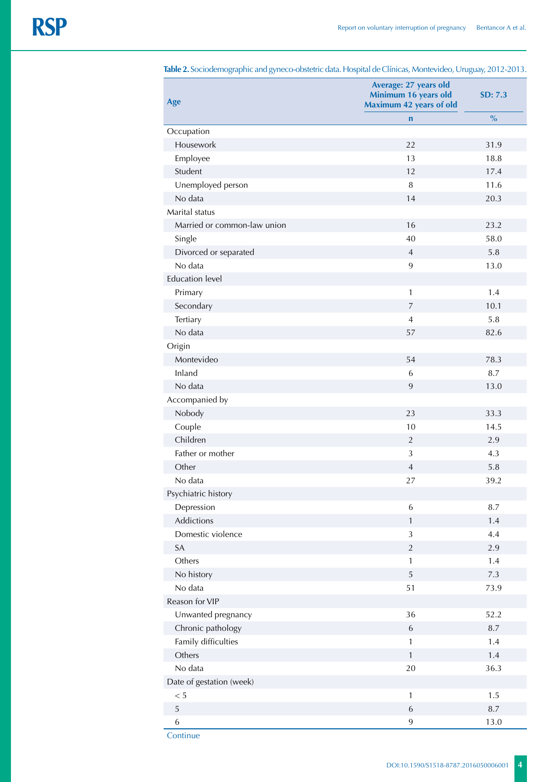| $\circ$<br>- 1<br>$\mathcal{O}I$ |                                                                          | U<br>$\mathcal{L}^{\prime}$ |
|----------------------------------|--------------------------------------------------------------------------|-----------------------------|
| Age                              | Average: 27 years old<br>Minimum 16 years old<br>Maximum 42 years of old | SD: 7.3                     |
|                                  | $\mathbf n$                                                              | $\%$                        |
| Occupation                       |                                                                          |                             |
| Housework                        | 22                                                                       | 31.9                        |
| Employee                         | 13                                                                       | 18.8                        |
| Student                          | 12                                                                       | 17.4                        |
| Unemployed person                | $\, 8$                                                                   | 11.6                        |
| No data                          | 14                                                                       | 20.3                        |
| Marital status                   |                                                                          |                             |
| Married or common-law union      | 16                                                                       | 23.2                        |
| Single                           | 40                                                                       | 58.0                        |
| Divorced or separated            | $\overline{4}$                                                           | 5.8                         |
| No data                          | 9                                                                        | 13.0                        |
| <b>Education level</b>           |                                                                          |                             |
| Primary                          | $\mathbf{1}$                                                             | 1.4                         |
| Secondary                        | $\overline{7}$                                                           | 10.1                        |
| Tertiary                         | $\overline{4}$                                                           | 5.8                         |
| No data                          | 57                                                                       | 82.6                        |
| Origin                           |                                                                          |                             |
| Montevideo                       | 54                                                                       | 78.3                        |
| Inland                           | 6                                                                        | 8.7                         |
| No data                          | 9                                                                        | 13.0                        |
| Accompanied by                   |                                                                          |                             |
| Nobody                           | 23                                                                       | 33.3                        |
| Couple                           | 10                                                                       | 14.5                        |
| Children                         | $\sqrt{2}$                                                               | 2.9                         |
| Father or mother                 | 3                                                                        | 4.3                         |
| Other                            | $\overline{4}$                                                           | 5.8                         |
| No data                          | 27                                                                       | 39.2                        |
| Psychiatric history              |                                                                          |                             |
|                                  |                                                                          |                             |
| Depression<br>Addictions         | 6                                                                        | 8.7                         |
| Domestic violence                | $\mathbf{1}$                                                             | 1.4                         |
|                                  | $\mathfrak z$                                                            | 4.4                         |
| SA                               | $\sqrt{2}$                                                               | 2.9                         |
| Others                           | $\mathbf{1}$                                                             | 1.4                         |
| No history                       | 5                                                                        | $7.3\,$                     |
| No data                          | 51                                                                       | 73.9                        |
| Reason for VIP                   |                                                                          |                             |
| Unwanted pregnancy               | 36                                                                       | 52.2                        |
| Chronic pathology                | $\,$ 6 $\,$                                                              | 8.7                         |
| Family difficulties              | 1                                                                        | 1.4                         |
| Others                           | $\mathbf{1}$                                                             | 1.4                         |
| No data                          | 20                                                                       | 36.3                        |
| Date of gestation (week)         |                                                                          |                             |
| $< 5\,$                          | $\mathbf 1$                                                              | 1.5                         |
| 5                                | $\sqrt{6}$                                                               | 8.7                         |
| $\,$ 6 $\,$                      | $\boldsymbol{9}$                                                         | 13.0                        |

**Table 2.** Sociodemographic and gyneco-obstetric data. Hospital de Clínicas, Montevideo, Uruguay, 2012-2013.

**Continue**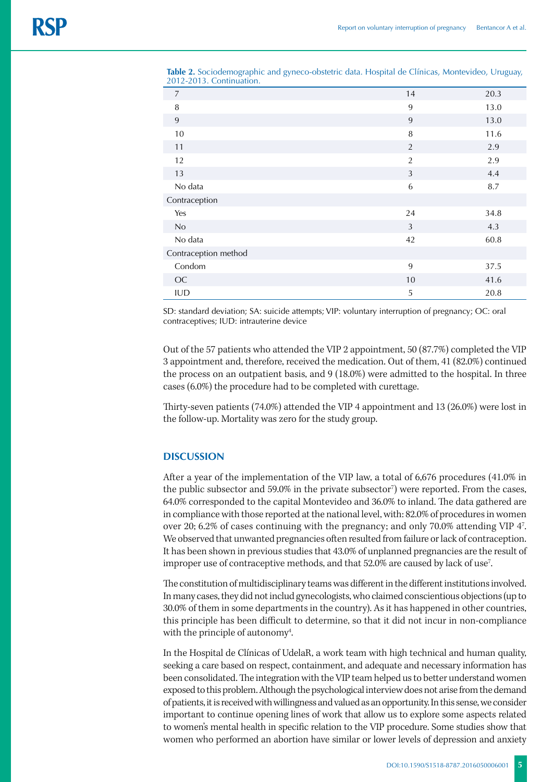| $\overline{7}$       | 14             | 20.3 |
|----------------------|----------------|------|
| 8                    | 9              | 13.0 |
| 9                    | 9              | 13.0 |
| 10                   | 8              | 11.6 |
| 11                   | 2              | 2.9  |
| 12                   | $\overline{2}$ | 2.9  |
| 13                   | 3              | 4.4  |
| No data              | 6              | 8.7  |
| Contraception        |                |      |
| Yes                  | 24             | 34.8 |
| No                   | 3              | 4.3  |
| No data              | 42             | 60.8 |
| Contraception method |                |      |
| Condom               | 9              | 37.5 |
| OC                   | 10             | 41.6 |
| <b>IUD</b>           | 5              | 20.8 |

**Table 2.** Sociodemographic and gyneco-obstetric data. Hospital de Clínicas, Montevideo, Uruguay, 2012-2013. Continuation.

SD: standard deviation; SA: suicide attempts; VIP: voluntary interruption of pregnancy; OC: oral contraceptives; IUD: intrauterine device

Out of the 57 patients who attended the VIP 2 appointment, 50 (87.7%) completed the VIP 3 appointment and, therefore, received the medication. Out of them, 41 (82.0%) continued the process on an outpatient basis, and 9 (18.0%) were admitted to the hospital. In three cases (6.0%) the procedure had to be completed with curettage.

Thirty-seven patients (74.0%) attended the VIP 4 appointment and 13 (26.0%) were lost in the follow-up. Mortality was zero for the study group.

# **DISCUSSION**

After a year of the implementation of the VIP law, a total of 6,676 procedures (41.0% in the public subsector and 59.0% in the private subsector<sup>7</sup>) were reported. From the cases, 64.0% corresponded to the capital Montevideo and 36.0% to inland. The data gathered are in compliance with those reported at the national level, with: 82.0% of procedures in women over 20; 6.2% of cases continuing with the pregnancy; and only 70.0% attending VIP 47 . We observed that unwanted pregnancies often resulted from failure or lack of contraception. It has been shown in previous studies that 43.0% of unplanned pregnancies are the result of improper use of contraceptive methods, and that 52.0% are caused by lack of use<sup>7</sup>. .

The constitution of multidisciplinary teams was different in the different institutions involved. In many cases, they did not includ gynecologists, who claimed conscientious objections (up to 30.0% of them in some departments in the country). As it has happened in other countries, this principle has been difficult to determine, so that it did not incur in non-compliance with the principle of autonomy<sup>4</sup>. .

In the Hospital de Clínicas of UdelaR, a work team with high technical and human quality, seeking a care based on respect, containment, and adequate and necessary information has been consolidated. The integration with the VIP team helped us to better understand women exposed to this problem. Although the psychological interview does not arise from the demand of patients, it is received with willingness and valued as an opportunity. In this sense, we consider important to continue opening lines of work that allow us to explore some aspects related to women's mental health in specific relation to the VIP procedure. Some studies show that women who performed an abortion have similar or lower levels of depression and anxiety